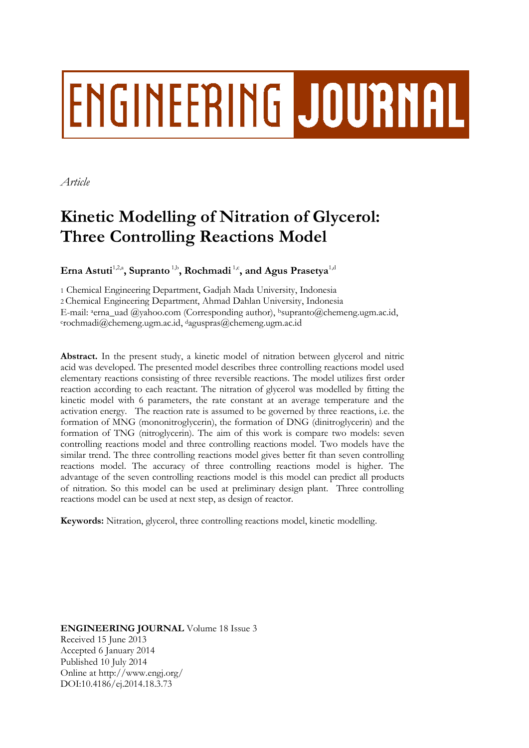# **ENGINEERING JOURNAL**

*Article*

# **Kinetic Modelling of Nitration of Glycerol: Three Controlling Reactions Model**

 $\mathbf{E}$ rna Astuti<sup>1,2,a</sup>, Supranto<sup>1,b</sup>, Rochmadi<sup>1,c</sup>, and Agus Prasetya<sup>1,d</sup>

1 Chemical Engineering Department, Gadjah Mada University, Indonesia 2 Chemical Engineering Department, Ahmad Dahlan University, Indonesia E-mail: <sup>a</sup>erna\_uad @yahoo.com (Corresponding author), b[supranto@chemeng.ugm.ac.id,](mailto:bsupranto@chemeng.ugm.ac.id) <sup>c</sup>[rochmadi@chemeng.ugm.ac.id,](mailto:crochmadi@chemeng.ugm.ac.id) <sup>d</sup>[aguspras@chemeng.ugm.ac.id](mailto:daguspras@chemeng.ugm.ac.id)

**Abstract.** In the present study, a kinetic model of nitration between glycerol and nitric acid was developed. The presented model describes three controlling reactions model used elementary reactions consisting of three reversible reactions. The model utilizes first order reaction according to each reactant. The nitration of glycerol was modelled by fitting the kinetic model with 6 parameters, the rate constant at an average temperature and the activation energy. The reaction rate is assumed to be governed by three reactions, i.e. the formation of MNG (mononitroglycerin), the formation of DNG (dinitroglycerin) and the formation of TNG (nitroglycerin). The aim of this work is compare two models: seven controlling reactions model and three controlling reactions model. Two models have the similar trend. The three controlling reactions model gives better fit than seven controlling reactions model. The accuracy of three controlling reactions model is higher. The advantage of the seven controlling reactions model is this model can predict all products of nitration. So this model can be used at preliminary design plant. Three controlling reactions model can be used at next step, as design of reactor.

**Keywords:** Nitration, glycerol, three controlling reactions model, kinetic modelling.

**ENGINEERING JOURNAL** Volume 18 Issue 3 Received 15 June 2013 Accepted 6 January 2014 Published 10 July 2014 Online at http://www.engj.org/ DOI:10.4186/ej.2014.18.3.73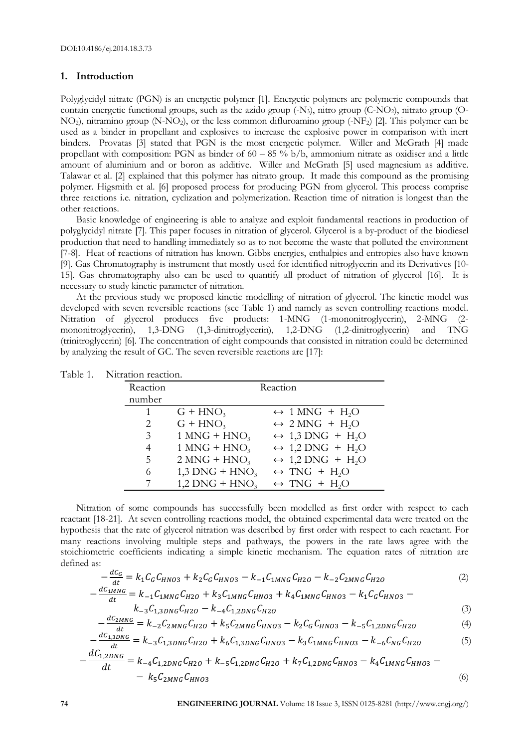## **1. Introduction**

Polyglycidyl nitrate (PGN) is an energetic polymer [1]. Energetic polymers are polymeric compounds that contain energetic functional groups, such as the azido group (-N3), nitro group (C-NO2), nitrato group (O-NO2), nitramino group (N-NO2), or the less common difluroamino group (-NF2) [2]. This polymer can be used as a binder in propellant and explosives to increase the explosive power in comparison with inert binders. Provatas [3] stated that PGN is the most energetic polymer. Willer and McGrath [4] made propellant with composition: PGN as binder of  $60 - 85\%$  b/b, ammonium nitrate as oxidiser and a little amount of aluminium and or boron as additive. Willer and McGrath [5] used magnesium as additive. Talawar et al. [2] explained that this polymer has nitrato group. It made this compound as the promising polymer. Higsmith et al. [6] proposed process for producing PGN from glycerol. This process comprise three reactions i.e. nitration, cyclization and polymerization. Reaction time of nitration is longest than the other reactions.

Basic knowledge of engineering is able to analyze and exploit fundamental reactions in production of polyglycidyl nitrate [7]. This paper focuses in nitration of glycerol. Glycerol is a by-product of the biodiesel production that need to handling immediately so as to not become the waste that polluted the environment [7-8]. Heat of reactions of nitration has known. Gibbs energies, enthalpies and entropies also have known [9]. Gas Chromatography is instrument that mostly used for identified nitroglycerin and its Derivatives [10- 15]. Gas chromatography also can be used to quantify all product of nitration of glycerol [16]. It is necessary to study kinetic parameter of nitration.

At the previous study we proposed kinetic modelling of nitration of glycerol. The kinetic model was developed with seven reversible reactions (see Table 1) and namely as seven controlling reactions model. Nitration of glycerol produces five products: 1-MNG (1-mononitroglycerin), 2-MNG (2 mononitroglycerin), 1,3-DNG (1,3-dinitroglycerin), 1,2-DNG (1,2-dinitroglycerin) and TNG (trinitroglycerin) [6]. The concentration of eight compounds that consisted in nitration could be determined by analyzing the result of GC. The seven reversible reactions are [17]:

| T VILLALIOII TUAULIOII. |                              |                                              |  |
|-------------------------|------------------------------|----------------------------------------------|--|
| Reaction                |                              | Reaction                                     |  |
| number                  |                              |                                              |  |
|                         | $G + HNO3$                   | $\leftrightarrow$ 1 MNG + H <sub>2</sub> O   |  |
| 2                       | $G + HNO3$                   | $\leftrightarrow$ 2 MNG + H <sub>2</sub> O   |  |
| 3                       | $1$ MNG + HNO <sub>3</sub>   | $\leftrightarrow$ 1,3 DNG + H <sub>2</sub> O |  |
| 4                       | $1$ MNG + HNO <sub>3</sub>   | $\leftrightarrow$ 1,2 DNG + H <sub>2</sub> O |  |
| 5                       | $2 MNG + HNO3$               | $\leftrightarrow$ 1,2 DNG + H <sub>2</sub> O |  |
| 6                       | $1,3$ DNG + HNO <sub>3</sub> | $\leftrightarrow$ TNG + H <sub>2</sub> O     |  |
|                         | $1,2$ DNG + HNO <sub>3</sub> | $\leftrightarrow$ TNG + H <sub>2</sub> O     |  |

| Table 1.<br>Nitration reaction. |  |
|---------------------------------|--|
|---------------------------------|--|

Nitration of some compounds has successfully been modelled as first order with respect to each reactant [18-21]. At seven controlling reactions model, the obtained experimental data were treated on the hypothesis that the rate of glycerol nitration was described by first order with respect to each reactant. For many reactions involving multiple steps and pathways, the powers in the rate laws agree with the stoichiometric coefficients indicating a simple kinetic mechanism. The equation rates of nitration are defined as:  $\ddot{\phantom{a}}$ 

$$
-\frac{ac_G}{dt} = k_1 C_G C_{HNO3} + k_2 C_G C_{HNO3} - k_{-1} C_{1MNG} C_{H2O} - k_{-2} C_{2MNG} C_{H2O}
$$
(2)

$$
-\frac{uc_{1MNG}}{dt} = k_{-1}C_{1MNG}C_{H2O} + k_{3}C_{1MNG}C_{HNO3} + k_{4}C_{1MNG}C_{HNO3} - k_{1}C_{G}C_{HNO3} -
$$

$$
k_{-3}C_{1,3DNG}C_{H2O} - k_{-4}C_{1,2DNG}C_{H2O}
$$
\n(3)

$$
-\frac{dC_{2MNG}}{dt} = k_{-2}C_{2MNG}C_{H2O} + k_{5}C_{2MNG}C_{HNO3} - k_{2}C_{G}C_{HNO3} - k_{-5}C_{1,2DNG}C_{H2O}
$$
(4)

$$
-\frac{dC_{1,3DNG}}{dt} = k_{-3}C_{1,3DNG}C_{H2O} + k_6C_{1,3DNG}C_{HNO3} - k_3C_{1MNG}C_{HNO3} - k_{-6}C_{NG}C_{H2O}
$$
(5)

$$
-\frac{ac_{1,2DNG}}{dt} = k_{-4}C_{1,2DNG}C_{H2O} + k_{-5}C_{1,2DNG}C_{H2O} + k_{7}C_{1,2DNG}C_{HNO3} - k_{4}C_{1MNG}C_{HNO3} - k_{5}C_{2MNG}C_{HNO3}
$$
\n
$$
(6)
$$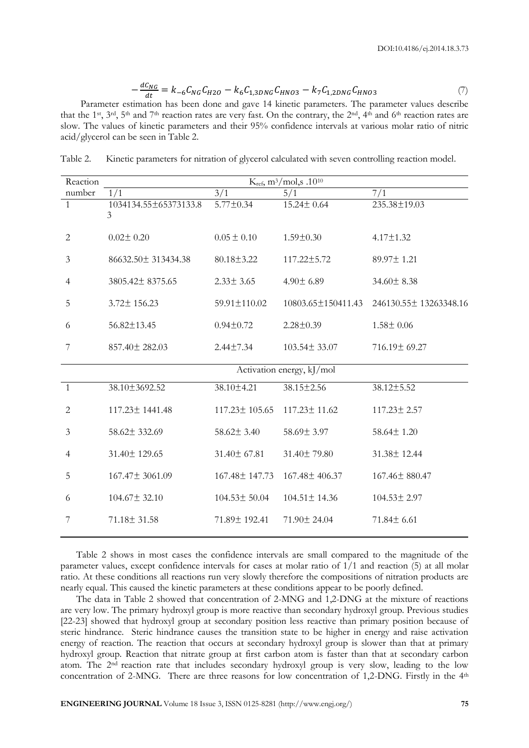$$
-\frac{dC_{NG}}{dt} = k_{-6}C_{NG}C_{H2O} - k_6C_{1,3DNG}C_{HNO3} - k_7C_{1,2DNG}C_{HNO3}
$$
 (7)

 $\frac{\partial u}{\partial t}$   $\frac{\partial u}{\partial t}$   $\frac{\partial u}{\partial t}$   $\frac{\partial u}{\partial t}$   $\frac{\partial v}{\partial t}$  and  $\frac{\partial v}{\partial x}$   $\frac{\partial v}{\partial t}$   $\frac{\partial v}{\partial x}$   $\frac{\partial v}{\partial t}$ . The parameter values describe that the 1<sup>st</sup>, 3<sup>rd</sup>, 5<sup>th</sup> and 7<sup>th</sup> reaction rates are very fast. On the contrary, the 2<sup>nd</sup>, 4<sup>th</sup> and 6<sup>th</sup> reaction rates are slow. The values of kinetic parameters and their 95% confidence intervals at various molar ratio of nitric acid/glycerol can be seen in Table 2.

Table 2. Kinetic parameters for nitration of glycerol calculated with seven controlling reaction model.

| Reaction       | K <sub>ref</sub> , m <sup>3</sup> /mol,s .10 <sup>10</sup> |                    |                           |                                           |
|----------------|------------------------------------------------------------|--------------------|---------------------------|-------------------------------------------|
| number         | 1/1                                                        | 3/1                | 5/1                       | 7/1                                       |
| $\overline{1}$ | 1034134.55±65373133.8<br>3                                 | $5.77 \pm 0.34$    | $15.24 \pm 0.64$          | 235.38±19.03                              |
| $\mathbf{2}$   | $0.02 \pm 0.20$                                            | $0.05 \pm 0.10$    | $1.59 \pm 0.30$           | $4.17 \pm 1.32$                           |
| 3              | 86632.50 ± 313434.38                                       | $80.18 \pm 3.22$   | 117.22±5.72               | 89.97±1.21                                |
| $\overline{4}$ | 3805.42±8375.65                                            | $2.33 \pm 3.65$    | $4.90 \pm 6.89$           | 34.60±8.38                                |
| 5              | $3.72 \pm 156.23$                                          | 59.91±110.02       |                           | 10803.65±150411.43 246130.55± 13263348.16 |
| 6              | $56.82 \pm 13.45$                                          | $0.94 \pm 0.72$    | $2.28 \pm 0.39$           | $1.58 \pm 0.06$                           |
| 7              | 857.40± 282.03                                             | $2.44 \pm 7.34$    | $103.54 \pm 33.07$        | 716.19± 69.27                             |
|                |                                                            |                    | Activation energy, kJ/mol |                                           |
| 1              | 38.10±3692.52                                              | 38.10±4.21         | 38.15±2.56                | 38.12±5.52                                |
| 2              | 117.23 ± 1441.48                                           | 117.23 ± 105.65    | 117.23 ± 11.62            | 117.23± 2.57                              |
| 3              | 58.62± 332.69                                              | $58.62 \pm 3.40$   | 58.69± 3.97               | 58.64± 1.20                               |
| $\overline{4}$ | 31.40±129.65                                               | 31.40 ± 67.81      | 31.40±79.80               | 31.38±12.44                               |
| 5              | 167.47± 3061.09                                            | 167.48±147.73      | 167.48±406.37             | 167.46±880.47                             |
| 6              | $104.67 \pm 32.10$                                         | $104.53 \pm 50.04$ | $104.51 \pm 14.36$        | 104.53± 2.97                              |
| 7              | $71.18 \pm 31.58$                                          | 71.89± 192.41      | 71.90 ± 24.04             | 71.84± 6.61                               |

Table 2 shows in most cases the confidence intervals are small compared to the magnitude of the parameter values, except confidence intervals for cases at molar ratio of 1/1 and reaction (5) at all molar ratio. At these conditions all reactions run very slowly therefore the compositions of nitration products are nearly equal. This caused the kinetic parameters at these conditions appear to be poorly defined.

The data in Table 2 showed that concentration of 2-MNG and 1,2-DNG at the mixture of reactions are very low. The primary hydroxyl group is more reactive than secondary hydroxyl group. Previous studies [22-23] showed that hydroxyl group at secondary position less reactive than primary position because of steric hindrance. Steric hindrance causes the transition state to be higher in energy and raise activation energy of reaction. The reaction that occurs at secondary hydroxyl group is slower than that at primary hydroxyl group. Reaction that nitrate group at first carbon atom is faster than that at secondary carbon atom. The 2nd reaction rate that includes secondary hydroxyl group is very slow, leading to the low concentration of 2-MNG. There are three reasons for low concentration of 1,2-DNG. Firstly in the 4<sup>th</sup>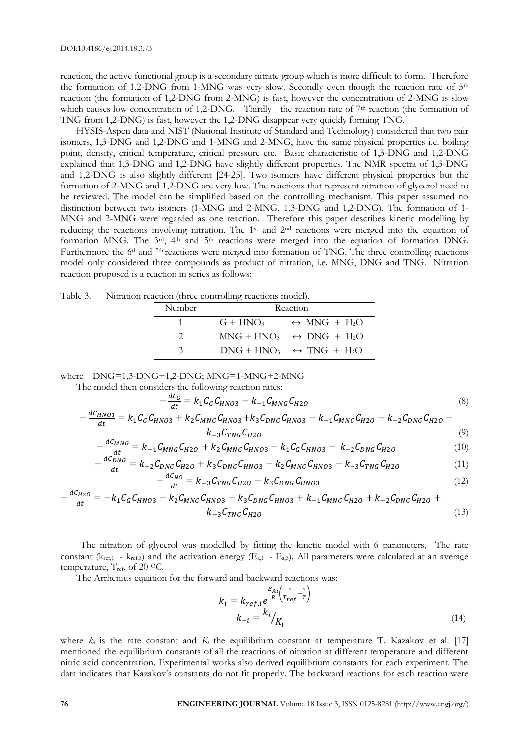reaction, the active functional group is a secondary nitrate group which is more difficult to form. Therefore the formation of 1,2-DNG from 1-MNG was very slow. Secondly even though the reaction rate of  $5<sup>th</sup>$ reaction (the formation of 1,2-DNG from 2-MNG) is fast, however the concentration of 2-MNG is slow which causes low concentration of 1,2-DNG. Thirdly the reaction rate of 7<sup>th</sup> reaction (the formation of TNG from 1,2-DNG) is fast, however the 1,2-DNG disappear very quickly forming TNG.

HYSIS-Aspen data and NIST (National Institute of Standard and Technology) considered that two pair isomers, 1,3-DNG and 1,2-DNG and 1-MNG and 2-MNG, have the same physical properties i.e. boiling point, density, critical temperature, critical pressure etc. Basic characteristic of 1,3-DNG and 1,2-DNG explained that 1,3-DNG and 1,2-DNG have slightly different properties. The NMR spectra of 1,3-DNG and 1,2-DNG is also slightly different [24-25]. Two isomers have different physical properties but the formation of 2-MNG and 1,2-DNG are very low. The reactions that represent nitration of glycerol need to be reviewed. The model can be simplified based on the controlling mechanism. This paper assumed no distinction between two isomers (1-MNG and 2-MNG, 1,3-DNG and 1,2-DNG). The formation of 1- MNG and 2-MNG were regarded as one reaction. Therefore this paper describes kinetic modelling by reducing the reactions involving nitration. The 1st and 2nd reactions were merged into the equation of formation MNG. The 3<sup>rd</sup>, 4<sup>th</sup> and 5<sup>th</sup> reactions were merged into the equation of formation DNG. Furthermore the 6<sup>th</sup> and <sup>7th</sup> reactions were merged into formation of TNG. The three controlling reactions model only considered three compounds as product of nitration, i.e. MNG, DNG and TNG. Nitration reaction proposed is a reaction in series as follows:

| tion reaction (three controlling reactions model). |               |          |                                          |  |
|----------------------------------------------------|---------------|----------|------------------------------------------|--|
|                                                    | Number        | Reaction |                                          |  |
|                                                    | $\sim$ 1      |          | $G + HNO3 \rightarrow MNG + H2O$         |  |
|                                                    |               |          | $MNG + HNO_3 \leftrightarrow DNG + H_2O$ |  |
|                                                    | $\mathcal{Z}$ |          | $DNS + HNO_3 \leftrightarrow TNG + H_2O$ |  |

Table 3. Nitration Reaction Controller

where DNG=1,3-DNG+1,2-DNG; MNG=1-MNG+2-MNG

The model then considers the following reaction rates:  $AC$ 

 $\boldsymbol{d}$ 

$$
-\frac{ac_G}{dt} = k_1 C_G C_{HNO3} - k_{-1} C_{MNG} C_{H2O}
$$
  

$$
\frac{dC_{HNO3}}{dt} = k_1 C_G C_{HNO3} + k_2 C_{MNG} C_{HNO3} + k_3 C_{DNG} C_{HNO3} - k_{-1} C_{MNG} C_{H2O} - k_{-2} C_{DNG} C_{H2O} -
$$
 (8)

$$
-\frac{uc_{HNO3}}{dt} = k_1 C_G C_{HNO3} + k_2 C_{MNG} C_{HNO3} + k_3 C_{DNG} C_{HNO3} - k_{-1} C_{MNG} C_{H2O} - k_{-2} C_{DNG} C_{H2O} - k_{-3} C_{MNG} C_{H2O}
$$
\n
$$
(9)
$$

$$
\frac{C_{MNG}}{dt} = k_{-1}C_{MNG}C_{H2O} + k_{2}C_{MNG}C_{HNO3} - k_{1}C_{G}C_{HNO3} - k_{-2}C_{DNG}C_{H2O}
$$
(10)

$$
\frac{dC_{DNG}}{dt} = k_{-2}C_{DNG}C_{H2O} + k_3C_{DNG}C_{HNG3} - k_2C_{MNG}C_{HNG3} - k_{-3}C_{TNG}C_{H2O}
$$
(11)

$$
-\frac{dC_{NG}}{dt} = k_{-3}C_{TNG}C_{H2O} - k_3C_{DNG}C_{HNO3}
$$
\n(12)

$$
-\frac{dC_{H2O}}{dt} = -k_1 C_G C_{HNO3} - k_2 C_{MNG} C_{HNO3} - k_3 C_{DNG} C_{HNO3} + k_{-1} C_{MNG} C_{H2O} + k_{-2} C_{DNG} C_{H2O} + k_{-3} C_{TNG} C_{H2O}
$$
\n
$$
(13)
$$

The nitration of glycerol was modelled by fitting the kinetic model with 6 parameters, The rate constant ( $k_{ref,1}$  -  $k_{ref,3}$ ) and the activation energy ( $E_{a,1}$  -  $E_{a,3}$ ). All parameters were calculated at an average temperature,  $T_{ref}$ , of 20 °C.

The Arrhenius equation for the forward and backward reactions was:

$$
k_i = k_{ref,i} e^{\frac{E_{Ai}}{R} \left(\frac{1}{T_{ref}} - \frac{1}{T}\right)}
$$

$$
k_{-i} = \frac{k_i}{K_i}
$$
(14)

where  $k_i$  is the rate constant and  $K_i$  the equilibrium constant at temperature T. Kazakov et al. [17] mentioned the equilibrium constants of all the reactions of nitration at different temperature and different nitric acid concentration. Experimental works also derived equilibrium constants for each experiment. The data indicates that Kazakov's constants do not fit properly. The backward reactions for each reaction were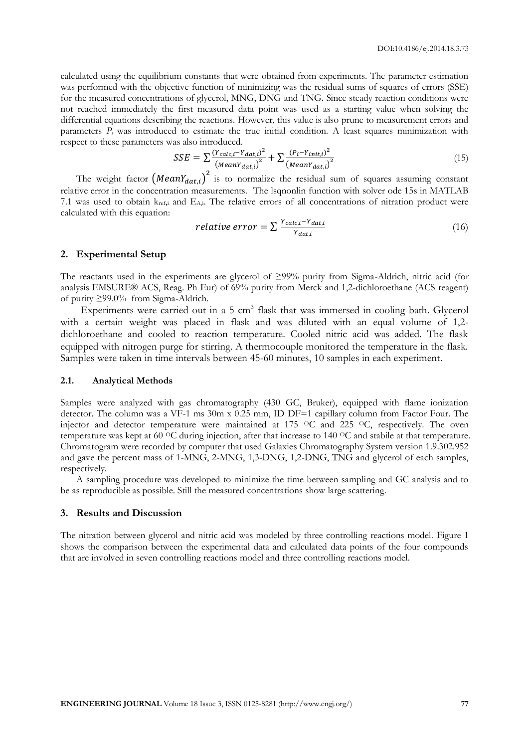calculated using the equilibrium constants that were obtained from experiments. The parameter estimation was performed with the objective function of minimizing was the residual sums of squares of errors (SSE) for the measured concentrations of glycerol, MNG, DNG and TNG. Since steady reaction conditions were not reached immediately the first measured data point was used as a starting value when solving the differential equations describing the reactions. However, this value is also prune to measurement errors and parameters  $\overline{P}_i$  was introduced to estimate the true initial condition. A least squares minimization with respect to these parameters was also introduced.

$$
SSE = \sum_{i} \frac{(Y_{calc,i} - Y_{dat,i})^2}{(MeanY_{dat,i})^2} + \sum_{i} \frac{(P_i - Y_{init,i})^2}{(MeanY_{dat,i})^2}
$$
(15)

The weight factor  $(MeanY_{dat,i})^2$  is to normalize the residual sum of squares assuming constant relative error in the concentration measurements. The lsqnonlin function with solver ode 15s in MATLAB 7.1 was used to obtain  $k_{ref,i}$  and  $E_{Ai}$ . The relative errors of all concentrations of nitration product were calculated with this equation:

$$
relative\ error = \sum \frac{Y_{calc,i} - Y_{dat,i}}{Y_{dat,i}}\tag{16}
$$

# **2. Experimental Setup**

The reactants used in the experiments are glycerol of ≥99% purity from Sigma-Aldrich, nitric acid (for analysis EMSURE® ACS, Reag. Ph Eur) of 69% purity from Merck and 1,2-dichloroethane (ACS reagent) of purity ≥99.0% from Sigma-Aldrich.

Experiments were carried out in a 5 cm<sup>3</sup> flask that was immersed in cooling bath. Glycerol with a certain weight was placed in flask and was diluted with an equal volume of 1,2 dichloroethane and cooled to reaction temperature. Cooled nitric acid was added. The flask equipped with nitrogen purge for stirring. A thermocouple monitored the temperature in the flask. Samples were taken in time intervals between 45-60 minutes, 10 samples in each experiment.

#### **2.1. Analytical Methods**

Samples were analyzed with gas chromatography (430 GC, Bruker), equipped with flame ionization detector. The column was a VF-1 ms 30m x 0.25 mm, ID DF=1 capillary column from Factor Four. The injector and detector temperature were maintained at 175 <sup>o</sup>C and 225 <sup>o</sup>C, respectively. The oven temperature was kept at 60 <sup>O</sup>C during injection, after that increase to 140 <sup>O</sup>C and stabile at that temperature. Chromatogram were recorded by computer that used Galaxies Chromatography System version 1.9.302.952 and gave the percent mass of 1-MNG, 2-MNG, 1,3-DNG, 1,2-DNG, TNG and glycerol of each samples, respectively.

A sampling procedure was developed to minimize the time between sampling and GC analysis and to be as reproducible as possible. Still the measured concentrations show large scattering.

#### **3. Results and Discussion**

The nitration between glycerol and nitric acid was modeled by three controlling reactions model. Figure 1 shows the comparison between the experimental data and calculated data points of the four compounds that are involved in seven controlling reactions model and three controlling reactions model.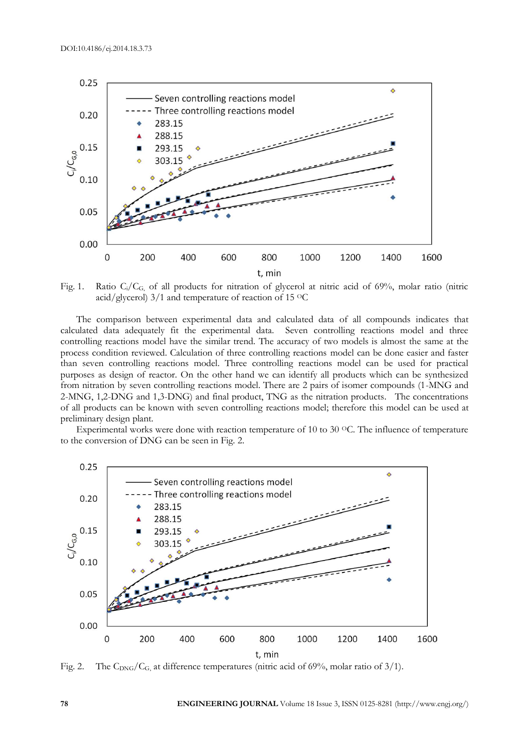

Fig. 1. Ratio  $C_i/C_{G_i}$  of all products for nitration of glycerol at nitric acid of 69%, molar ratio (nitric acid/glycerol) 3/1 and temperature of reaction of 15 OC

The comparison between experimental data and calculated data of all compounds indicates that calculated data adequately fit the experimental data. Seven controlling reactions model and three controlling reactions model have the similar trend. The accuracy of two models is almost the same at the process condition reviewed. Calculation of three controlling reactions model can be done easier and faster than seven controlling reactions model. Three controlling reactions model can be used for practical purposes as design of reactor. On the other hand we can identify all products which can be synthesized from nitration by seven controlling reactions model. There are 2 pairs of isomer compounds (1-MNG and 2-MNG, 1,2-DNG and 1,3-DNG) and final product, TNG as the nitration products. The concentrations of all products can be known with seven controlling reactions model; therefore this model can be used at preliminary design plant.

Experimental works were done with reaction temperature of 10 to 30  $^{\circ}$ C. The influence of temperature to the conversion of DNG can be seen in Fig. 2.



Fig. 2. The  $C_{\text{DNS}}/C_G$ , at difference temperatures (nitric acid of 69%, molar ratio of 3/1).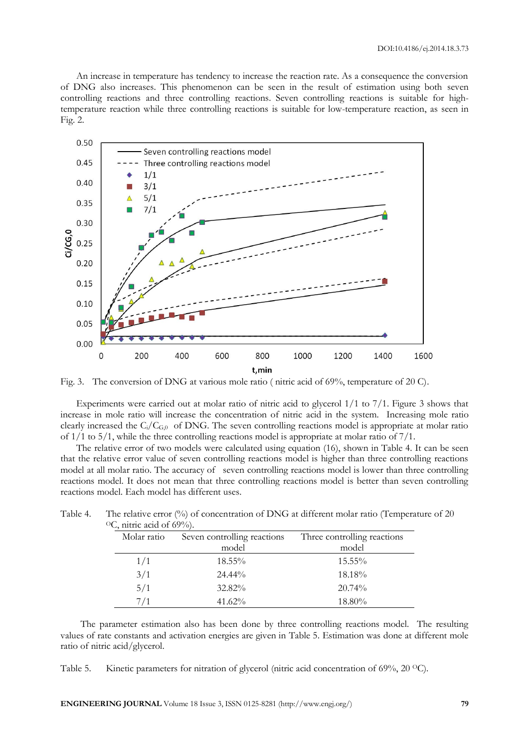An increase in temperature has tendency to increase the reaction rate. As a consequence the conversion of DNG also increases. This phenomenon can be seen in the result of estimation using both seven controlling reactions and three controlling reactions. Seven controlling reactions is suitable for hightemperature reaction while three controlling reactions is suitable for low-temperature reaction, as seen in Fig. 2.



Fig. 3. The conversion of DNG at various mole ratio ( nitric acid of 69%, temperature of 20 C).

Experiments were carried out at molar ratio of nitric acid to glycerol 1/1 to 7/1. Figure 3 shows that increase in mole ratio will increase the concentration of nitric acid in the system. Increasing mole ratio clearly increased the  $C_i/C_{G,0}$  of DNG. The seven controlling reactions model is appropriate at molar ratio of  $1/1$  to  $5/1$ , while the three controlling reactions model is appropriate at molar ratio of  $7/1$ .

The relative error of two models were calculated using equation (16), shown in Table 4. It can be seen that the relative error value of seven controlling reactions model is higher than three controlling reactions model at all molar ratio. The accuracy of seven controlling reactions model is lower than three controlling reactions model. It does not mean that three controlling reactions model is better than seven controlling reactions model. Each model has different uses.

| C, muit atiu 01 02/0]. |                             |                             |  |  |
|------------------------|-----------------------------|-----------------------------|--|--|
| Molar ratio            | Seven controlling reactions | Three controlling reactions |  |  |
|                        | model                       | model                       |  |  |
| 1/1                    | $18.55\%$                   | $15.55\%$                   |  |  |
| 3/1                    | 24.44%                      | 18.18%                      |  |  |
| 5/1                    | 32.82%                      | 20.74%                      |  |  |
| 7/1                    | $41.62\%$                   | 18.80%                      |  |  |

Table 4. The relative error (%) of concentration of DNG at different molar ratio (Temperature of 20  $OC$ , nitric acid of  $69\%$ 

The parameter estimation also has been done by three controlling reactions model. The resulting values of rate constants and activation energies are given in Table 5. Estimation was done at different mole ratio of nitric acid/glycerol.

Table 5. Kinetic parameters for nitration of glycerol (nitric acid concentration of  $69\%$ ,  $20 \degree C$ ).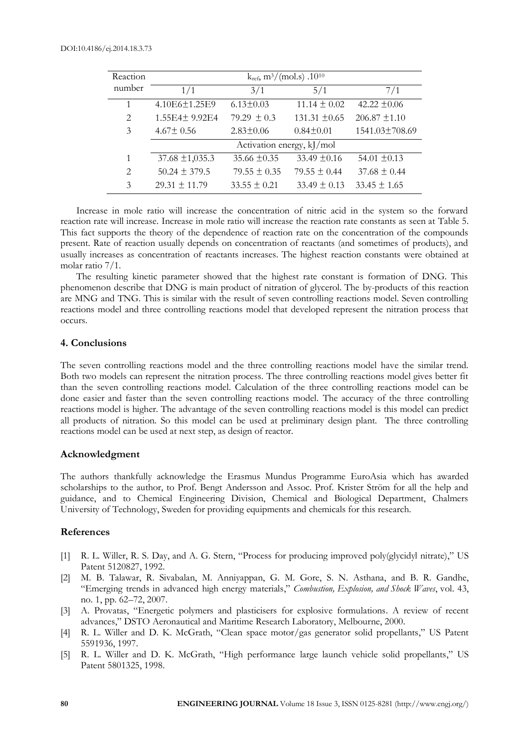| Reaction       | $k_{ref}$ , m <sup>3</sup> /(mol.s) .10 <sup>10</sup> |                  |                   |                   |
|----------------|-------------------------------------------------------|------------------|-------------------|-------------------|
| number         | 1/1                                                   | 3/1              | 5/1               | 7/1               |
| 1              | 4.10E6±1.25E9                                         | $6.13 \pm 0.03$  | $11.14 \pm 0.02$  | 42.22 $\pm 0.06$  |
| 2              | 1.55E4± 9.92E4                                        | 79.29 $\pm$ 0.3  | 131.31 $\pm 0.65$ | $206.87 \pm 1.10$ |
| 3              | $4.67 \pm 0.56$                                       | $2.83 \pm 0.06$  | $0.84 \pm 0.01$   | 1541.03±708.69    |
|                | Activation energy, kJ/mol                             |                  |                   |                   |
| 1              | $37.68 \pm 1,035.3$                                   | 35.66 $\pm$ 0.35 | $33.49 \pm 0.16$  | $54.01 \pm 0.13$  |
| $\mathfrak{D}$ | $50.24 \pm 379.5$                                     | $79.55 \pm 0.35$ | $79.55 \pm 0.44$  | $37.68 \pm 0.44$  |
| 3              | $29.31 \pm 11.79$                                     | $33.55 \pm 0.21$ | $33.49 \pm 0.13$  | $33.45 \pm 1.65$  |

Increase in mole ratio will increase the concentration of nitric acid in the system so the forward reaction rate will increase. Increase in mole ratio will increase the reaction rate constants as seen at Table 5. This fact supports the theory of the dependence of reaction rate on the concentration of the compounds present. Rate of reaction usually depends on concentration of reactants (and sometimes of products), and usually increases as concentration of reactants increases. The highest reaction constants were obtained at molar ratio 7/1.

The resulting kinetic parameter showed that the highest rate constant is formation of DNG. This phenomenon describe that DNG is main product of nitration of glycerol. The by-products of this reaction are MNG and TNG. This is similar with the result of seven controlling reactions model. Seven controlling reactions model and three controlling reactions model that developed represent the nitration process that occurs.

# **4. Conclusions**

The seven controlling reactions model and the three controlling reactions model have the similar trend. Both two models can represent the nitration process. The three controlling reactions model gives better fit than the seven controlling reactions model. Calculation of the three controlling reactions model can be done easier and faster than the seven controlling reactions model. The accuracy of the three controlling reactions model is higher. The advantage of the seven controlling reactions model is this model can predict all products of nitration. So this model can be used at preliminary design plant. The three controlling reactions model can be used at next step, as design of reactor.

# **Acknowledgment**

The authors thankfully acknowledge the Erasmus Mundus Programme EuroAsia which has awarded scholarships to the author, to Prof. Bengt Andersson and Assoc. Prof. Krister Ström for all the help and guidance, and to Chemical Engineering Division, Chemical and Biological Department, Chalmers University of Technology, Sweden for providing equipments and chemicals for this research.

### **References**

- [1] R. L. Willer, R. S. Day, and A. G. Stern, "Process for producing improved poly(glycidyl nitrate)," US Patent 5120827, 1992.
- [2] M. B. Talawar, R. Sivabalan, M. Anniyappan, G. M. Gore, S. N. Asthana, and B. R. Gandhe, "Emerging trends in advanced high energy materials," *Combustion, Explosion, and Shock Waves*, vol. 43, no. 1, pp. 62–72, 2007.
- [3] A. Provatas, "Energetic polymers and plasticisers for explosive formulations. A review of recent advances," DSTO Aeronautical and Maritime Research Laboratory, Melbourne, 2000.
- [4] R. L. Willer and D. K. McGrath, "Clean space motor/gas generator solid propellants," US Patent 5591936, 1997.
- [5] R. L. Willer and D. K. McGrath, "High performance large launch vehicle solid propellants," US Patent 5801325, 1998.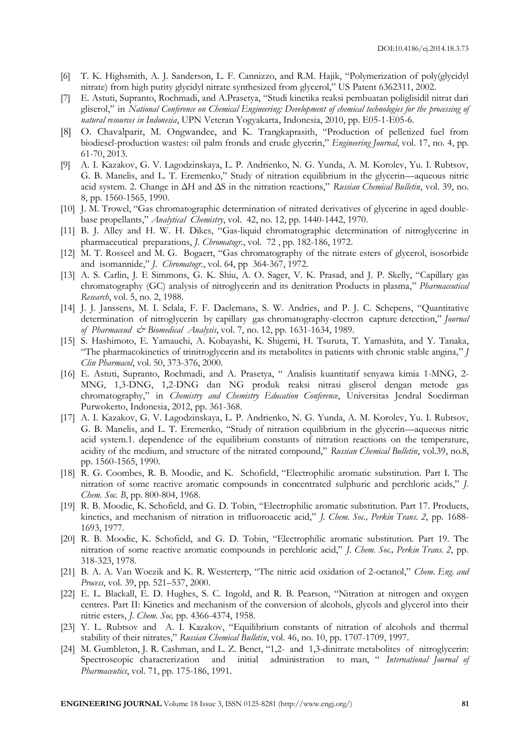- [6] T. K. Highsmith, A. J. Sanderson, L. F. Cannizzo, and R.M. Hajik, "Polymerization of poly(glycidyl nitrate) from high purity glycidyl nitrate synthesized from glycerol," US Patent 6362311, 2002.
- [7] E. Astuti, Supranto, Rochmadi, and A.Prasetya, "Studi kinetika reaksi pembuatan poliglisidil nitrat dari gliserol," in *National Conference on Chemical Engineering: Development of chemical technologies for the processing of natural resources in Indonesia*, UPN Veteran Yogyakarta, Indonesia, 2010, pp. E05-1-E05-6.
- [8] O. Chavalparit, M. Ongwandee, and K. Trangkaprasith, "Production of pelletized fuel from biodiesel-production wastes: oil palm fronds and crude glycerin," *Engineering Journal*, vol. 17, no. 4, pp. 61-70, 2013.
- [9] A. I. Kazakov, G. V. Lagodzinskaya, L. P. Andrienko, N. G. Yunda, A. M. Korolev, Yu. I. Rubtsov, G. B. Manelis, and L. T. Eremenko," Study of nitration equilibrium in the glycerin—aqueous nitric acid system. 2. Change in ΔH and ΔS in the nitration reactions," *Russian Chemical Bulletin*, vol. 39, no. 8, pp. 1560-1565, 1990.
- [10] J. M. Trowel, "Gas chromatographic determination of nitrated derivatives of glycerine in aged doublebase propellants," *Analytical Chemistry*, vol. 42, no. 12, pp. 1440-1442, 1970.
- [11] B. J. Alley and H. W. H. Dikes, "Gas-liquid chromatographic determination of nitroglycerine in pharmaceutical preparations, *J. Chromatogr.*, vol. 72 , pp. 182-186, 1972.
- [12] M. T. Rosseel and M. G. Bogaert, "Gas chromatography of the nitrate esters of glycerol, isosorbide and isomannide," *J. Chromatogr.*, vol. 64, pp 364-367, 1972.
- [13] A. S. Carlin, J. E Simmons, G. K. Shiu, A. O. Sager, V. K. Prasad, and J. P. Skelly, "Capillary gas chromatography (GC) analysis of nitroglycerin and its denitration Products in plasma," *Pharmaceutical Research*, vol. 5, no. 2, 1988.
- [14] J. J. Janssens, M. I. Selala, F. F. Daelemans, S. W. Andries, and P. J. C. Schepens, "Quantitative determination of nitroglycerin by capillary gas chromatography-electron capture detection," *Journal of Pharmaceud & Biomedical Analysis*, vol. 7, no. 12, pp. 1631-1634, 1989.
- [15] S. Hashimoto, E. Yamauchi, A. Kobayashi, K. Shigemi, H. Tsuruta, T. Yamashita, and Y. Tanaka, "The pharmacokinetics of trinitroglycerin and its metabolites in patients with chronic stable angina," *J Clin Pharmacol*, vol. 50, 373-376, 2000.
- [16] E. Astuti, Supranto, Rochmadi, and A. Prasetya, " Analisis kuantitatif senyawa kimia 1-MNG, 2- MNG, 1,3-DNG, 1,2-DNG dan NG produk reaksi nitrasi gliserol dengan metode gas chromatography," in *Chemistry and Chemistry Education Conference*, Universitas Jendral Soedirman Purwokerto, Indonesia, 2012, pp. 361-368.
- [17] A. I. Kazakov, G. V. Lagodzinskaya, L. P. Andrienko, N. G. Yunda, A. M. Korolev, Yu. I. Rubtsov, G. B. Manelis, and L. T. Eremenko, "Study of nitration equilibrium in the glycerin—aqueous nitric acid system.1. dependence of the equilibrium constants of nitration reactions on the temperature, acidity of the medium, and structure of the nitrated compound," *Russian Chemical Bulletin*, vol.39, no.8, pp. 1560-1565, 1990.
- [18] R. G. Coombes, R. B. Moodie, and K. Schofield, "Electrophilic aromatic substitution. Part I. The nitration of some reactive aromatic compounds in concentrated sulphuric and perchloric acids," *J. Chem. Soc. B*, pp. 800-804, 1968.
- [19] R. B. Moodie, K. Schofield, and G. D. Tobin, "Electrophilic aromatic substitution. Part 17. Products, kinetics, and mechanism of nitration in trifluoroacetic acid," *J. Chem. Soc., Perkin Trans. 2*, pp. 1688- 1693, 1977.
- [20] R. B. Moodie, K. Schofield, and G. D. Tobin, "Electrophilic aromatic substitution. Part 19. The nitration of some reactive aromatic compounds in perchloric acid," *J. Chem. Soc., Perkin Trans. 2*, pp. 318-323, 1978.
- [21] B. A. A. Van Woezik and K. R. Westerterp, "The nitric acid oxidation of 2-octanol," *Chem. Eng. and Process*, vol. 39, pp. 521–537, 2000.
- [22] E. L. Blackall, E. D. Hughes, S. C. Ingold, and R. B. Pearson, "Nitration at nitrogen and oxygen centres. Part II: Kinetics and mechanism of the conversion of alcohols, glycols and glycerol into their nitric esters, *J*. *Chem. Soc,* pp. 4366-4374, 1958.
- [23] Y. L. Rubtsov and A. I. Kazakov, "Equilibrium constants of nitration of alcohols and thermal stability of their nitrates," *Russian Chemical Bulletin*, vol. 46, no. 10, pp. 1707-1709, 1997.
- [24] M. Gumbleton, J. R. Cashman, and L. Z. Benet, "1,2- and 1,3-dinitrate metabolites of nitroglycerin: Spectroscopic characterization and initial administration to man, " *International Journal of Pharmaceutics*, vol. 71, pp. 175-186, 1991.